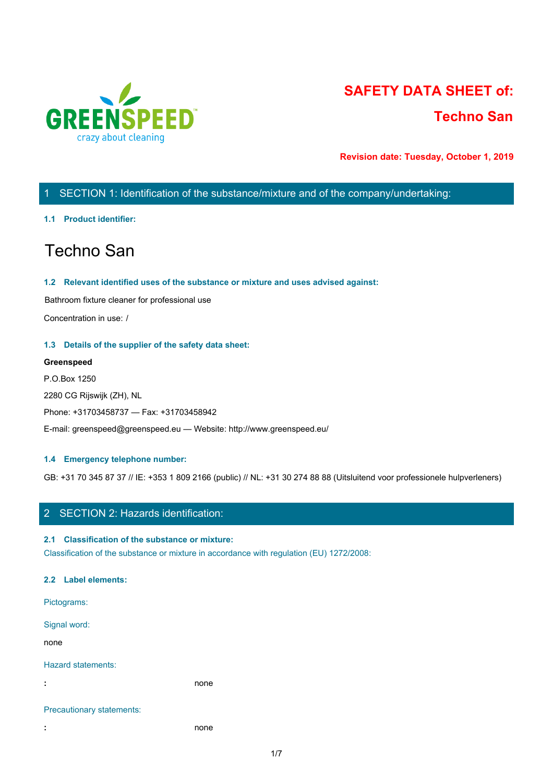

# **SAFETY DATA SHEET of: Techno San**

**Revision date: Tuesday, October 1, 2019**

# 1 SECTION 1: Identification of the substance/mixture and of the company/undertaking:

## **1.1 Product identifier:**

# Techno San

#### **1.2 Relevant identified uses of the substance or mixture and uses advised against:**

Bathroom fixture cleaner for professional use

Concentration in use: /

## **1.3 Details of the supplier of the safety data sheet:**

## **Greenspeed**

P.O.Box 1250 2280 CG Rijswijk (ZH), NL Phone: +31703458737 — Fax: +31703458942 E-mail: greenspeed@greenspeed.eu — Website: http://www.greenspeed.eu/

## **1.4 Emergency telephone number:**

GB: +31 70 345 87 37 // IE: +353 1 809 2166 (public) // NL: +31 30 274 88 88 (Uitsluitend voor professionele hulpverleners)

# 2 SECTION 2: Hazards identification:

## **2.1 Classification of the substance or mixture:**

Classification of the substance or mixture in accordance with regulation (EU) 1272/2008:

## **2.2 Label elements:**

Pictograms: Signal word: none and the state of the state of the state of the state of the state of the state of the state of the state of the state of the state of the state of the state of the state of the state of the state of the state of the s Hazard statements: **:** none Precautionary statements:

**:** none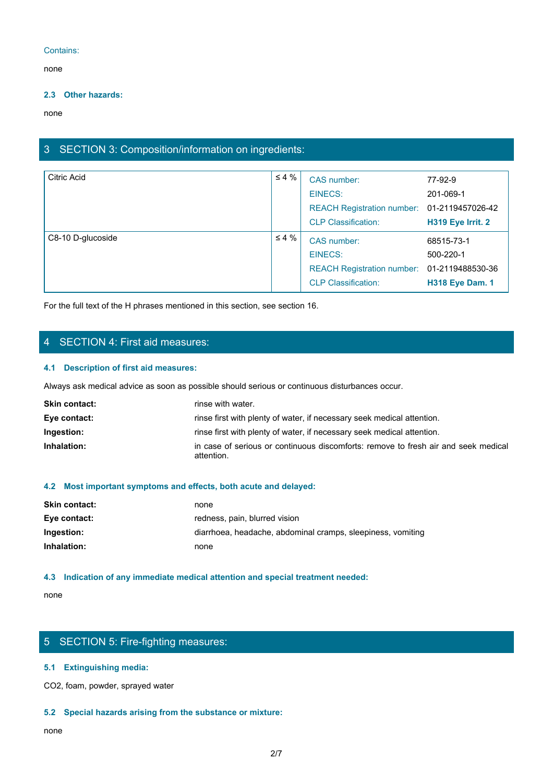## Contains:

none and the state of the state of the state of the state of the state of the state of the state of the state of the state of the state of the state of the state of the state of the state of the state of the state of the s

## **2.3 Other hazards:**

none and the state of the state of the state of the state of the state of the state of the state of the state of the state of the state of the state of the state of the state of the state of the state of the state of the s

# 3 SECTION 3: Composition/information on ingredients:

| Citric Acid                     | $\leq 4\%$ | CAS number:<br>EINECS:<br>REACH Registration number: 01-2119457026-42<br><b>CLP Classification:</b> | 77-92-9<br>201-069-1<br>H319 Eye Irrit. 2         |
|---------------------------------|------------|-----------------------------------------------------------------------------------------------------|---------------------------------------------------|
| $\overline{)$ C8-10 D-glucoside | $\leq 4\%$ | CAS number:<br>EINECS:<br>REACH Registration number: 01-2119488530-36<br><b>CLP Classification:</b> | 68515-73-1<br>500-220-1<br><b>H318 Eye Dam. 1</b> |

For the full text of the H phrases mentioned in this section, see section 16.

# 4 SECTION 4: First aid measures:

## **4.1 Description of first aid measures:**

Always ask medical advice as soon as possible should serious or continuous disturbances occur.

| <b>Skin contact:</b> | rinse with water.                                                                                |
|----------------------|--------------------------------------------------------------------------------------------------|
| Eye contact:         | rinse first with plenty of water, if necessary seek medical attention.                           |
| Ingestion:           | rinse first with plenty of water, if necessary seek medical attention.                           |
| Inhalation:          | in case of serious or continuous discomforts: remove to fresh air and seek medical<br>attention. |

## **4.2 Most important symptoms and effects, both acute and delayed:**

#### **4.3 Indication of any immediate medical attention and special treatment needed:**

none and the state of the state of the state of the state of the state of the state of the state of the state of the state of the state of the state of the state of the state of the state of the state of the state of the s

# 5 SECTION 5: Fire-fighting measures:

# **5.1 Extinguishing media:**

CO2, foam, powder, sprayed water

# **5.2 Special hazards arising from the substance or mixture:**

none and the state of the state of the state of the state of the state of the state of the state of the state of the state of the state of the state of the state of the state of the state of the state of the state of the s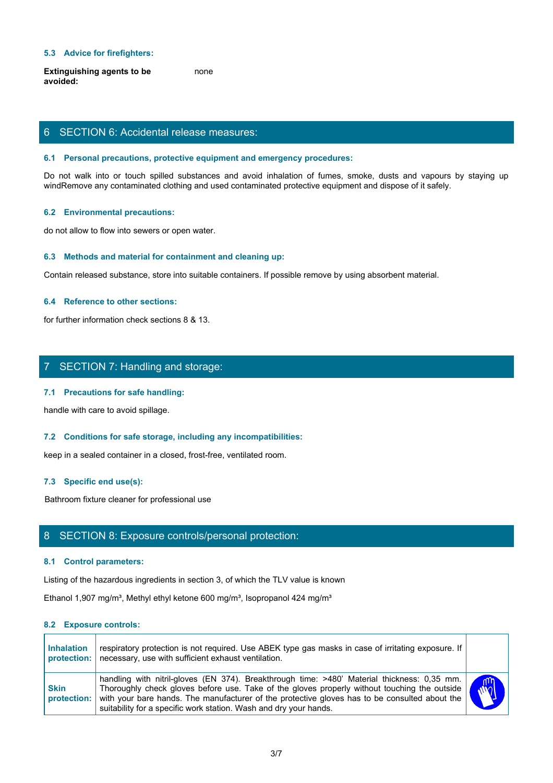#### **5.3 Advice for firefighters:**

**Extinguishing agents to be avoided:** none and the state of the state of the state of the state of the state of the state of the state of the state of the state of the state of the state of the state of the state of the state of the state of the state of the s

# 6 SECTION 6: Accidental release measures:

#### **6.1 Personal precautions, protective equipment and emergency procedures:**

S.3 Advice for firefighters:<br> **Extinguishing agents to be**<br> **Conservated substances**<br> **Conservates:**<br> **Conservates**<br> **Conservates and avoid inhalation of fumes, smoke, dusts and vapours by staying up<br>
windRemove any contam** windRemove any contaminated clothing and used contaminated protective equipment and dispose of it safely.

#### **6.2 Environmental precautions:**

do not allow to flow into sewers or open water.

#### **6.3 Methods and material for containment and cleaning up:**

Contain released substance, store into suitable containers. If possible remove by using absorbent material.

## **6.4 Reference to other sections:**

for further information check sections 8 & 13.

# 7 SECTION 7: Handling and storage:

#### **7.1 Precautions for safe handling:**

## **7.2 Conditions for safe storage, including any incompatibilities:**

#### **7.3 Specific end use(s):**

# 8 SECTION 8: Exposure controls/personal protection:

#### **8.1 Control parameters:**

#### **8.2 Exposure controls:**

|                                  | 7.1 Precaduons for sale nanding.                                                                                                                                                                                                                                                                                                                                  |              |
|----------------------------------|-------------------------------------------------------------------------------------------------------------------------------------------------------------------------------------------------------------------------------------------------------------------------------------------------------------------------------------------------------------------|--------------|
|                                  | handle with care to avoid spillage.                                                                                                                                                                                                                                                                                                                               |              |
|                                  | 7.2 Conditions for safe storage, including any incompatibilities:                                                                                                                                                                                                                                                                                                 |              |
|                                  | keep in a sealed container in a closed, frost-free, ventilated room.                                                                                                                                                                                                                                                                                              |              |
| 7.3 Specific end use(s):         |                                                                                                                                                                                                                                                                                                                                                                   |              |
|                                  | Bathroom fixture cleaner for professional use                                                                                                                                                                                                                                                                                                                     |              |
|                                  | 8 SECTION 8: Exposure controls/personal protection:                                                                                                                                                                                                                                                                                                               |              |
| 8.1 Control parameters:          |                                                                                                                                                                                                                                                                                                                                                                   |              |
|                                  | Listing of the hazardous ingredients in section 3, of which the TLV value is known                                                                                                                                                                                                                                                                                |              |
|                                  | Ethanol 1,907 mg/m <sup>3</sup> , Methyl ethyl ketone 600 mg/m <sup>3</sup> , Isopropanol 424 mg/m <sup>3</sup>                                                                                                                                                                                                                                                   |              |
| 8.2 Exposure controls:           |                                                                                                                                                                                                                                                                                                                                                                   |              |
| <b>Inhalation</b><br>protection: | respiratory protection is not required. Use ABEK type gas masks in case of irritating exposure. If<br>necessary, use with sufficient exhaust ventilation.                                                                                                                                                                                                         |              |
| <b>Skin</b><br>protection:       | handling with nitril-gloves (EN 374). Breakthrough time: >480' Material thickness: 0,35 mm.<br>Thoroughly check gloves before use. Take of the gloves properly without touching the outside<br>with your bare hands. The manufacturer of the protective gloves has to be consulted about the<br>suitability for a specific work station. Wash and dry your hands. | $\mathbf{w}$ |
|                                  |                                                                                                                                                                                                                                                                                                                                                                   |              |
|                                  | 3/7                                                                                                                                                                                                                                                                                                                                                               |              |
|                                  |                                                                                                                                                                                                                                                                                                                                                                   |              |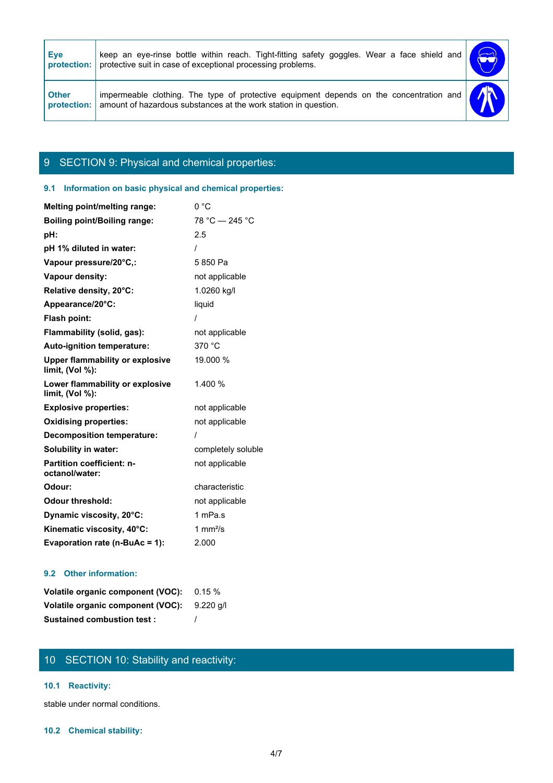| keep an eye-rinse bottle within reach. Tight-fitting safety goggles. Wear a face shield and<br>protective suit in case of exceptional processing problems. |                                                                                         |
|------------------------------------------------------------------------------------------------------------------------------------------------------------|-----------------------------------------------------------------------------------------|
|                                                                                                                                                            |                                                                                         |
|                                                                                                                                                            |                                                                                         |
|                                                                                                                                                            |                                                                                         |
|                                                                                                                                                            |                                                                                         |
|                                                                                                                                                            |                                                                                         |
|                                                                                                                                                            |                                                                                         |
|                                                                                                                                                            |                                                                                         |
|                                                                                                                                                            | <b>DO</b>                                                                               |
| amount of hazardous substances at the work station in question.                                                                                            |                                                                                         |
|                                                                                                                                                            | impermeable clothing. The type of protective equipment depends on the concentration and |

# 9 SECTION 9: Physical and chemical properties:

# **9.1 Information on basic physical and chemical properties:**

| Melting point/melting range:                                 | 0 °C               |
|--------------------------------------------------------------|--------------------|
| <b>Boiling point/Boiling range:</b>                          | 78 °C - 245 °C     |
| pH:                                                          | 2.5                |
| pH 1% diluted in water:                                      |                    |
| Vapour pressure/20°C,:                                       | 5850 Pa            |
| Vapour density:                                              | not applicable     |
| Relative density, 20°C:                                      | 1.0260 kg/l        |
| Appearance/20°C:                                             | liquid             |
| Flash point:                                                 |                    |
| Flammability (solid, gas):                                   | not applicable     |
| Auto-ignition temperature:                                   | 370 °C             |
| <b>Upper flammability or explosive</b><br>limit, $(Vol %)$ : | 19.000 %           |
| Lower flammability or explosive<br>limit, $(Vol %)$ :        | 1.400 %            |
| <b>Explosive properties:</b>                                 | not applicable     |
| <b>Oxidising properties:</b>                                 | not applicable     |
| <b>Decomposition temperature:</b>                            |                    |
| <b>Solubility in water:</b>                                  | completely soluble |
| <b>Partition coefficient: n-</b><br>octanol/water:           | not applicable     |
| Odour:                                                       | characteristic     |
| <b>Odour threshold:</b>                                      | not applicable     |
| Dynamic viscosity, 20°C:                                     | 1 mPa.s            |
| Kinematic viscosity, 40°C:                                   | 1 mm $^{2}/s$      |
| Evaporation rate (n-BuAc = 1):                               | 2.000              |

# **9.2 Other information:**

| <b>Volatile organic component (VOC):</b> 0.15 % |  |
|-------------------------------------------------|--|
| Volatile organic component (VOC): 9.220 g/l     |  |
| <b>Sustained combustion test:</b>               |  |

# 10 SECTION 10: Stability and reactivity:

## **10.1 Reactivity:**

stable under normal conditions.

## **10.2 Chemical stability:**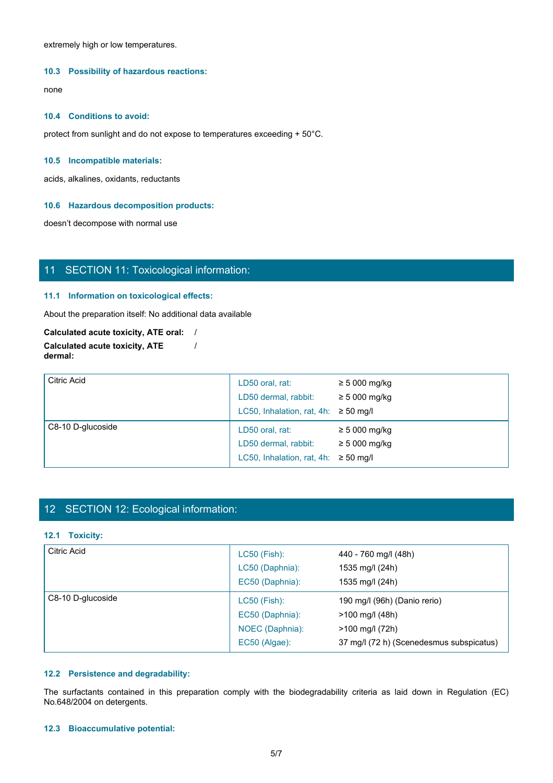extremely high or low temperatures.

#### **10.3 Possibility of hazardous reactions:**

none and the state of the state of the state of the state of the state of the state of the state of the state of the state of the state of the state of the state of the state of the state of the state of the state of the s

#### **10.4 Conditions to avoid:**

protect from sunlight and do not expose to temperatures exceeding + 50°C.

#### **10.5 Incompatible materials:**

acids, alkalines, oxidants, reductants

#### **10.6 Hazardous decomposition products:**

doesn't decompose with normal use

# 11 SECTION 11: Toxicological information:

## **11.1 Information on toxicological effects:**

About the preparation itself: No additional data available

**Calculated acute toxicity, ATE oral:** / **Calculated acute toxicity, ATE dermal:** /

| Citric Acid       | LD50 oral, rat:<br>LD50 dermal, rabbit:<br>LC50, Inhalation, rat, 4h: $\geq$ 50 mg/l | $\geq$ 5 000 mg/kg<br>$\geq 5000$ mg/kg |  |
|-------------------|--------------------------------------------------------------------------------------|-----------------------------------------|--|
| C8-10 D-glucoside | LD50 oral, rat:<br>LD50 dermal, rabbit:<br>LC50, Inhalation, rat, 4h: $\geq$ 50 mg/l | $\geq$ 5 000 mg/kg<br>$\geq 5000$ mg/kg |  |

# 12 SECTION 12: Ecological information:

## **12.1 Toxicity:**

|                                        | LC50, Inhalation, rat, 4h: $\geq$ 50 mg/l                                            |                                                                                                                         |
|----------------------------------------|--------------------------------------------------------------------------------------|-------------------------------------------------------------------------------------------------------------------------|
| C8-10 D-glucoside                      | LD50 oral, rat:<br>LD50 dermal, rabbit:<br>LC50, Inhalation, rat, 4h: $\geq$ 50 mg/l | $\geq 5000$ mg/kg<br>$\geq 5000$ mg/kg                                                                                  |
| 12 SECTION 12: Ecological information: |                                                                                      |                                                                                                                         |
| 12.1 Toxicity:                         |                                                                                      |                                                                                                                         |
| Citric Acid                            | LC50 (Fish):<br>LC50 (Daphnia):<br>EC50 (Daphnia):                                   | 440 - 760 mg/l (48h)<br>1535 mg/l (24h)<br>1535 mg/l (24h)                                                              |
| C8-10 D-glucoside                      | LC50 (Fish):<br>EC50 (Daphnia):<br>NOEC (Daphnia):<br>EC50 (Algae):                  | 190 mg/l (96h) (Danio rerio)<br>>100 mg/l (48h)<br>>100 mg/l (72h)<br>37 mg/l (72 h) (Scenedesmus subspicatus)          |
| 12.2 Persistence and degradability:    |                                                                                      | The surfactants contained in this preparation comply with the biodegradability criteria as laid down in Regulation (EC) |
| No.648/2004 on detergents.             |                                                                                      |                                                                                                                         |
| 12.3 Bioaccumulative potential:        |                                                                                      |                                                                                                                         |
|                                        | 5/7                                                                                  |                                                                                                                         |

## **12.2 Persistence and degradability:**

#### **12.3 Bioaccumulative potential:**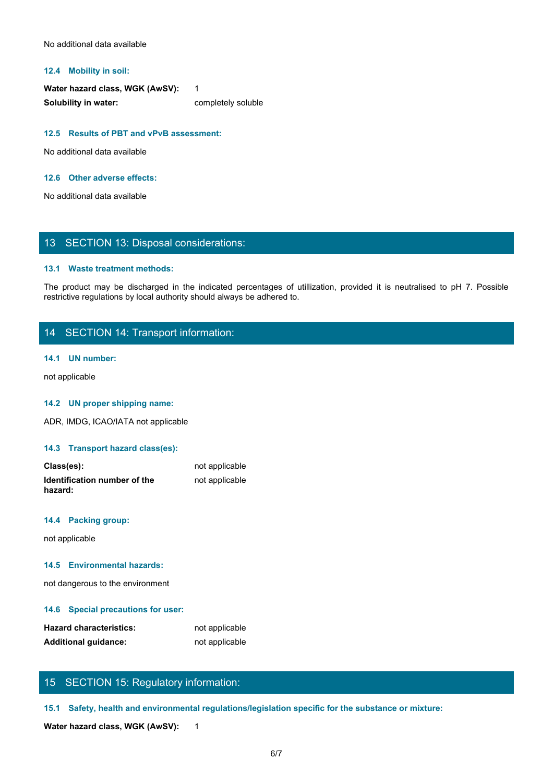No additional data available

## **12.4 Mobility in soil:**

| Water hazard class, WGK (AwSV): |                    |
|---------------------------------|--------------------|
| Solubility in water:            | completely soluble |

#### **12.5 Results of PBT and vPvB assessment:**

No additional data available

## **12.6 Other adverse effects:**

No additional data available

# 13 SECTION 13: Disposal considerations:

## **13.1 Waste treatment methods:**

No additional data available<br>
12.4 Mobility in soli:<br>
12.5 Results of PBT and vPvB assessment:<br>
13. Secults of PBT and vPvB assessment:<br>
No additional data available<br>
13. SECTION 13: Disposal considerations:<br>
13. Wasta tre restrictive regulations by local authority should always be adhered to.

# 14 SECTION 14: Transport information:

## **14.1 UN number:**

not applicable

#### **14.2 UN proper shipping name:**

ADR, IMDG, ICAO/IATA not applicable

#### **14.3 Transport hazard class(es):**

| Class(es):                   | not applicable |
|------------------------------|----------------|
| Identification number of the | not applicable |
| hazard:                      |                |

## **14.4 Packing group:**

not applicable

## **14.5 Environmental hazards:**

not dangerous to the environment

#### **14.6 Special precautions for user:**

| <b>Hazard characteristics:</b> | not applicable |
|--------------------------------|----------------|
| <b>Additional guidance:</b>    | not applicable |

# 15 SECTION 15: Regulatory information:

**15.1 Safety, health and environmental regulations/legislation specific for the substance or mixture:**

Water hazard class, WGK (AwSV): 1